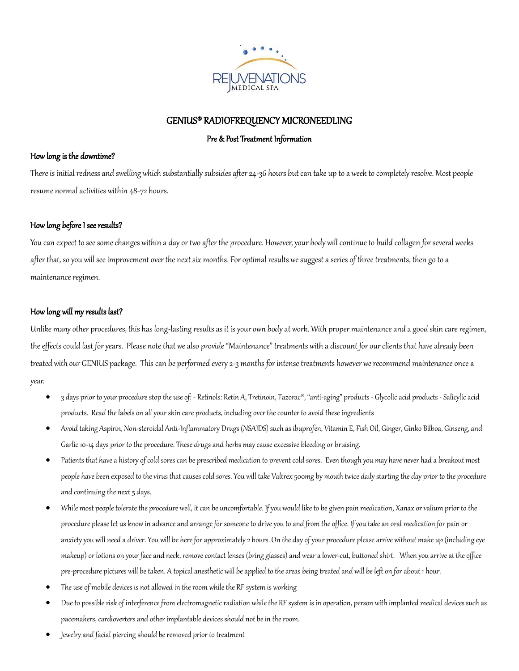

# GENIUS® RADIOFREQUENCY MICRONEEDLING

# Pre & Post Treatment Information

### How long is the downtime?

There is initial redness and swelling which substantially subsides after 24-36 hours but can take up to a week to completely resolve. Most people resume normal activities within 48-72 hours.

# How long before I see results?

You can expect to see some changes within a day or two after the procedure. However, your body will continue to build collagen for several weeks after that, so you will see improvement over the next six months. For optimal results we suggest a series of three treatments, then go to a maintenance regimen.

# How long will my results last?

Unlike many other procedures, this has long-lasting results as it is your own body at work. With proper maintenance and a good skin care regimen, the effects could last for years. Please note that we also provide "Maintenance" treatments with a discount for our clients that have already been treated with our GENIUS package. This can be performed every 2-3 months for intense treatments however we recommend maintenance once a year.

- 3 days prior to your procedure stop the use of: Retinols: Retin A, Tretinoin, Tazorac®, "anti-aging" products Glycolic acid products Salicylic acid products. Read the labels on all your skin care products, including over the counter to avoid these ingredients
- Avoid taking Aspirin, Non-steroidal Anti-Inflammatory Drugs (NSAIDS) such as ibuprofen, Vitamin E, Fish Oil, Ginger, Ginko Bilboa, Ginseng, and Garlic 10-14 days prior to the procedure. These drugs and herbs may cause excessive bleeding or bruising.
- Patients that have a history of cold sores can be prescribed medication to prevent cold sores. Even though you may have never had a breakout most people have been exposed to the virus that causes cold sores. You will take Valtrex 500mg by mouth twice daily starting the day prior to the procedure and continuing the next 5 days.
- While most people tolerate the procedure well, it can be uncomfortable. If you would like to be given pain medication, Xanax or valium prior to the procedure please let us know in advance and arrange for someone to drive you to and from the office. If you take an oral medication for pain or anxiety you will need a driver. You will be here for approximately 2 hours. On the day of your procedure please arrive without make up (including eye makeup) or lotions on your face and neck, remove contact lenses (bring glasses) and wear a lower-cut, buttoned shirt. When you arrive at the office pre-procedure pictures will be taken. A topical anesthetic will be applied to the areas being treated and will be left on for about 1 hour.
- The use of mobile devices is not allowed in the room while the RF system is working
- Due to possible risk of interference from electromagnetic radiation while the RF system is in operation, person with implanted medical devices such as pacemakers, cardioverters and other implantable devices should not be in the room.
- Jewelry and facial piercing should be removed prior to treatment